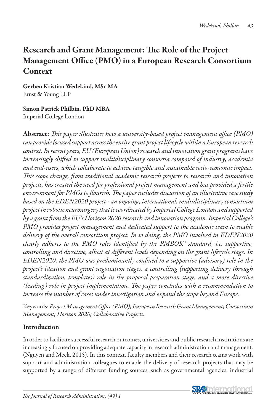# Research and Grant Management: The Role of the Project Management Office (PMO) in a European Research Consortium **Context**

Gerben Kristian Wedekind, MSc MA Ernst & Young LLP

### Simon Patrick Philbin, PhD MBA Imperial College London

Abstract: *This paper illustrates how a university-based project management office (PMO) can provide focused support across the entire grant project lifecycle within a European research context. In recent years, EU (European Union) research and innovation grant programs have increasingly shifted to support multidisciplinary consortia composed of industry, academia and end-users, which collaborate to achieve tangible and sustainable socio-economic impact. This scope change, from traditional academic research projects to research and innovation projects, has created the need for professional project management and has provided a fertile environment for PMOs to flourish. The paper includes discussion of an illustrative case study based on the EDEN2020 project - an ongoing, international, multidisciplinary consortium project in robotic neurosurgery that is coordinated by Imperial College London and supported by a grant from the EU's Horizon 2020 research and innovation program. Imperial College's PMO provides project management and dedicated support to the academic team to enable delivery of the overall consortium project. In so doing, the PMO involved in EDEN2020 clearly adheres to the PMO roles identified by the PMBOK® standard, i.e. supportive, controlling and directive, albeit at different levels depending on the grant lifecycle stage. In EDEN2020, the PMO was predominantly confined to a supportive (advisory) role in the project's ideation and grant negotiation stages, a controlling (supporting delivery through standardization, templates) role in the proposal preparation stage, and a more directive (leading) role in project implementation. The paper concludes with a recommendation to increase the number of cases under investigation and expand the scope beyond Europe.*

Keywords: *Project Management Office (PMO); European Research Grant Management; Consortium Management; Horizon 2020; Collaborative Projects.* 

## Introduction

In order to facilitate successful research outcomes, universities and public research institutions are increasingly focused on providing adequate capacity in research administration and management. (Nguyen and Meek, 2015). In this context, faculty members and their research teams work with support and administration colleagues to enable the delivery of research projects that may be supported by a range of different funding sources, such as governmental agencies, industrial

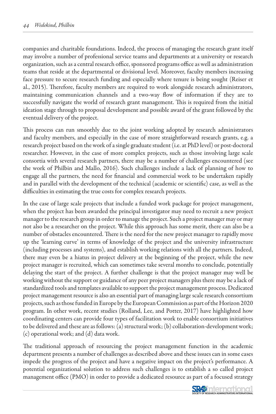companies and charitable foundations. Indeed, the process of managing the research grant itself may involve a number of professional service teams and departments at a university or research organization, such as a central research office, sponsored programs office as well as administration teams that reside at the departmental or divisional level. Moreover, faculty members increasing face pressure to secure research funding and especially where tenure is being sought (Reiser et al., 2015). Therefore, faculty members are required to work alongside research administrators, maintaining communication channels and a two-way flow of information if they are to successfully navigate the world of research grant management. This is required from the initial ideation stage through to proposal development and possible award of the grant followed by the eventual delivery of the project.

This process can run smoothly due to the joint working adopted by research administrators and faculty members, and especially in the case of more straightforward research grants, e.g. a research project based on the work of a single graduate student (i.e. at PhD level) or post-doctoral researcher. However, in the case of more complex projects, such as those involving large scale consortia with several research partners, there may be a number of challenges encountered (see the work of Philbin and Mallo, 2016). Such challenges include a lack of planning of how to engage all the partners, the need for financial and commercial work to be undertaken rapidly and in parallel with the development of the technical (academic or scientific) case, as well as the difficulties in estimating the true costs for complex research projects.

In the case of large scale projects that include a funded work package for project management, when the project has been awarded the principal investigator may need to recruit a new project manager to the research group in order to manage the project. Such a project manager may or may not also be a researcher on the project. While this approach has some merit, there can also be a number of obstacles encountered. There is the need for the new project manager to rapidly move up the 'learning curve' in terms of knowledge of the project and the university infrastructure (including processes and systems), and establish working relations with all the partners. Indeed, there may even be a hiatus in project delivery at the beginning of the project, while the new project manager is recruited, which can sometimes take several months to conclude, potentially delaying the start of the project. A further challenge is that the project manager may well be working without the support or guidance of any peer project managers plus there may be a lack of standardized tools and templates available to support the project management process. Dedicated project management resource is also an essential part of managing large scale research consortium projects, such as those funded in Europe by the European Commission as part of the Horizon 2020 program. In other work, recent studies (Rolland, Lee, and Potter, 2017) have highlighted how coordinating centers can provide four types of facilitation work to enable consortium initiatives to be delivered and these are as follows: (a) structural work; (b) collaboration-development work; (c) operational work; and (d) data work.

The traditional approach of resourcing the project management function in the academic department presents a number of challenges as described above and these issues can in some cases impede the progress of the project and have a negative impact on the project's performance. A potential organizational solution to address such challenges is to establish a so called project management office (PMO) in order to provide a dedicated resource as part of a focused strategy

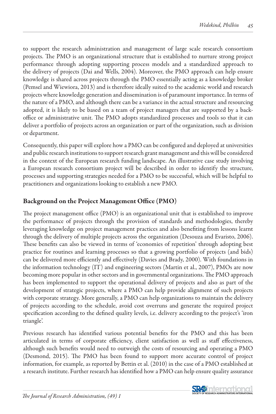to support the research administration and management of large scale research consortium projects. The PMO is an organizational structure that is established to nurture strong project performance through adopting supporting process models and a standardized approach to the delivery of projects (Dai and Wells, 2004). Moreover, the PMO approach can help ensure knowledge is shared across projects through the PMO essentially acting as a knowledge broker (Pemsel and Wiewiora, 2013) and is therefore ideally suited to the academic world and research projects where knowledge generation and dissemination is of paramount importance. In terms of the nature of a PMO, and although there can be a variance in the actual structure and resourcing adopted, it is likely to be based on a team of project managers that are supported by a backoffice or administrative unit. The PMO adopts standardized processes and tools so that it can deliver a portfolio of projects across an organization or part of the organization, such as division or department.

Consequently, this paper will explore how a PMO can be configured and deployed at universities and public research institutions to support research grant management and this will be considered in the context of the European research funding landscape. An illustrative case study involving a European research consortium project will be described in order to identify the structure, processes and supporting strategies needed for a PMO to be successful, which will be helpful to practitioners and organizations looking to establish a new PMO.

## Background on the Project Management Office (PMO)

The project management office (PMO) is an organizational unit that is established to improve the performance of projects through the provision of standards and methodologies, thereby leveraging knowledge on project management practices and also benefiting from lessons learnt through the delivery of multiple projects across the organization (Desouza and Evaristo, 2006). These benefits can also be viewed in terms of 'economies of repetition' through adopting best practice for routines and learning processes so that a growing portfolio of projects (and bids) can be delivered more efficiently and effectively (Davies and Brady, 2000). With foundations in the information technology (IT) and engineering sectors (Martin et al., 2007), PMOs are now becoming more popular in other sectors and in governmental organizations. The PMO approach has been implemented to support the operational delivery of projects and also as part of the development of strategic projects, where a PMO can help provide alignment of such projects with corporate strategy. More generally, a PMO can help organizations to maintain the delivery of projects according to the schedule, avoid cost overruns and generate the required project specification according to the defined quality levels, i.e. delivery according to the project's 'iron triangle'.

Previous research has identified various potential benefits for the PMO and this has been articulated in terms of corporate efficiency, client satisfaction as well as staff effectiveness, although such benefits would need to outweigh the costs of resourcing and operating a PMO (Desmond, 2015). The PMO has been found to support more accurate control of project information, for example, as reported by Bettin et al. (2010) in the case of a PMO established at a research institute. Further research has identified how a PMO can help ensure quality assurance

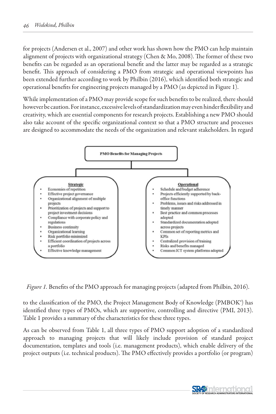for projects (Andersen et al., 2007) and other work has shown how the PMO can help maintain alignment of projects with organizational strategy (Chen & Mo, 2008). The former of these two benefits can be regarded as an operational benefit and the latter may be regarded as a strategic benefit. This approach of considering a PMO from strategic and operational viewpoints has been extended further according to work by Philbin (2016), which identified both strategic and operational benefits for engineering projects managed by a PMO (as depicted in Figure 1).

While implementation of a PMO may provide scope for such benefits to be realized, there should however be caution. For instance, excessive levels of standardization may even hinder flexibility and creativity, which are essential components for research projects. Establishing a new PMO should also take account of the specific organizational context so that a PMO structure and processes are designed to accommodate the needs of the organization and relevant stakeholders. In regard



*Figure 1.* Benefits of the PMO approach for managing projects (adapted from Philbin, 2016).

to the classification of the PMO, the Project Management Body of Knowledge (PMBOK®) has identified three types of PMOs, which are supportive, controlling and directive (PMI, 2013). Table 1 provides a summary of the characteristics for these three types.

As can be observed from Table 1, all three types of PMO support adoption of a standardized approach to managing projects that will likely include provision of standard project documentation, templates and tools (i.e. management products), which enable delivery of the project outputs (i.e. technical products). The PMO effectively provides a portfolio (or program)

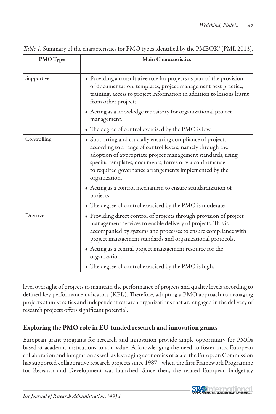| <b>PMO</b> Type | <b>Main Characteristics</b>                                                                                                                                                                                                                                                                                                                                                                   |  |  |
|-----------------|-----------------------------------------------------------------------------------------------------------------------------------------------------------------------------------------------------------------------------------------------------------------------------------------------------------------------------------------------------------------------------------------------|--|--|
| Supportive      | • Providing a consultative role for projects as part of the provision<br>of documentation, templates, project management best practice,<br>training, access to project information in addition to lessons learnt<br>from other projects.                                                                                                                                                      |  |  |
|                 | • Acting as a knowledge repository for organizational project<br>management.                                                                                                                                                                                                                                                                                                                  |  |  |
|                 | • The degree of control exercised by the PMO is low.                                                                                                                                                                                                                                                                                                                                          |  |  |
| Controlling     | • Supporting and crucially ensuring compliance of projects<br>according to a range of control levers, namely through the<br>adoption of appropriate project management standards, using<br>specific templates, documents, forms or via conformance<br>to required governance arrangements implemented by the<br>organization.<br>• Acting as a control mechanism to ensure standardization of |  |  |
|                 | projects.                                                                                                                                                                                                                                                                                                                                                                                     |  |  |
|                 | • The degree of control exercised by the PMO is moderate.                                                                                                                                                                                                                                                                                                                                     |  |  |
| Drective        | • Providing direct control of projects through provision of project<br>management services to enable delivery of projects. This is<br>accompanied by systems and processes to ensure compliance with<br>project management standards and organizational protocols.                                                                                                                            |  |  |
|                 | • Acting as a central project management resource for the<br>organization.                                                                                                                                                                                                                                                                                                                    |  |  |
|                 | • The degree of control exercised by the PMO is high.                                                                                                                                                                                                                                                                                                                                         |  |  |

*Table 1.* Summary of the characteristics for PMO types identified by the PMBOK® (PMI, 2013).

level oversight of projects to maintain the performance of projects and quality levels according to defined key performance indicators (KPIs). Therefore, adopting a PMO approach to managing projects at universities and independent research organizations that are engaged in the delivery of research projects offers significant potential.

## Exploring the PMO role in EU-funded research and innovation grants

European grant programs for research and innovation provide ample opportunity for PMOs based at academic institutions to add value. Acknowledging the need to foster intra-European collaboration and integration as well as leveraging economies of scale, the European Commission has supported collaborative research projects since 1987 - when the first Framework Programme for Research and Development was launched. Since then, the related European budgetary

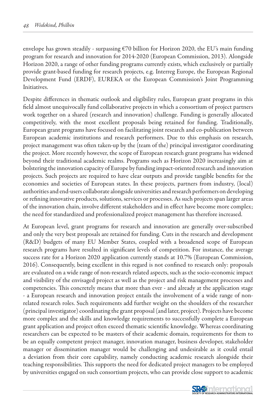envelope has grown steadily - surpassing €70 billion for Horizon 2020, the EU's main funding program for research and innovation for 2014-2020 (European Commission, 2013). Alongside Horizon 2020, a range of other funding programs currently exists, which exclusively or partially provide grant-based funding for research projects, e.g. Interreg Europe, the European Regional Development Fund (ERDF), EUREKA or the European Commission's Joint Programming Initiatives.

Despite differences in thematic outlook and eligibility rules, European grant programs in this field almost unequivocally fund collaborative projects in which a consortium of project partners work together on a shared (research and innovation) challenge. Funding is generally allocated competitively, with the most excellent proposals being retained for funding. Traditionally, European grant programs have focused on facilitating joint research and co-publication between European academic institutions and research performers. Due to this emphasis on research, project management was often taken-up by the (team of the) principal investigator coordinating the project. More recently however, the scope of European research grant programs has widened beyond their traditional academic realms. Programs such as Horizon 2020 increasingly aim at bolstering the innovation capacity of Europe by funding impact-oriented research and innovation projects. Such projects are required to have clear outputs and provide tangible benefits for the economies and societies of European states. In these projects, partners from industry, (local) authorities and end-users collaborate alongside universities and research performers on developing or refining innovative products, solutions, services or processes. As such projects span larger areas of the innovation chain, involve different stakeholders and in effect have become more complex; the need for standardized and professionalized project management has therefore increased.

At European level, grant programs for research and innovation are generally over-subscribed and only the very best proposals are retained for funding. Cuts in the research and development (R&D) budgets of many EU Member States, coupled with a broadened scope of European research programs have resulted in significant levels of competition. For instance, the average success rate for a Horizon 2020 application currently stands at 10.7% (European Commission, 2016). Consequently, being excellent in this regard is not confined to research only: proposals are evaluated on a wide range of non-research related aspects, such as the socio-economic impact and visibility of the envisaged project as well as the project and risk management processes and competencies. This concretely means that more than ever - and already at the application stage - a European research and innovation project entails the involvement of a wide range of nonrelated research roles. Such requirements add further weight on the shoulders of the researcher (principal investigator) coordinating the grant proposal (and later, project). Projects have become more complex and the skills and knowledge requirements to successfully complete a European grant application and project often exceed thematic scientific knowledge. Whereas coordinating researchers can be expected to be masters of their academic domain, requirements for them to be an equally competent project manager, innovation manager, business developer, stakeholder manager or dissemination manager would be challenging and undesirable as it could entail a deviation from their core capability, namely conducting academic research alongside their teaching responsibilities. This supports the need for dedicated project managers to be employed by universities engaged on such consortium projects, who can provide close support to academic

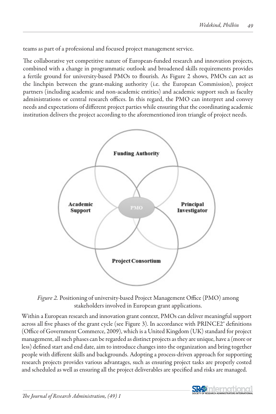teams as part of a professional and focused project management service.

The collaborative yet competitive nature of European-funded research and innovation projects, combined with a change in programmatic outlook and broadened skills requirements provides a fertile ground for university-based PMOs to flourish. As Figure 2 shows, PMOs can act as the linchpin between the grant-making authority (i.e. the European Commission), project partners (including academic and non-academic entities) and academic support such as faculty administrations or central research offices. In this regard, the PMO can interpret and convey needs and expectations of different project parties while ensuring that the coordinating academic institution delivers the project according to the aforementioned iron triangle of project needs.



*Figure 2.* Positioning of university-based Project Management Office (PMO) among stakeholders involved in European grant applications.

Within a European research and innovation grant context, PMOs can deliver meaningful support across all five phases of the grant cycle (see Figure 3). In accordance with PRINCE2<sup>®</sup> definitions (Office of Government Commerce, 2009), which is a United Kingdom (UK) standard for project management, all such phases can be regarded as distinct projects as they are unique, have a (more or less) defined start and end date, aim to introduce changes into the organization and bring together people with different skills and backgrounds. Adopting a process-driven approach for supporting research projects provides various advantages, such as ensuring project tasks are properly costed and scheduled as well as ensuring all the project deliverables are specified and risks are managed.

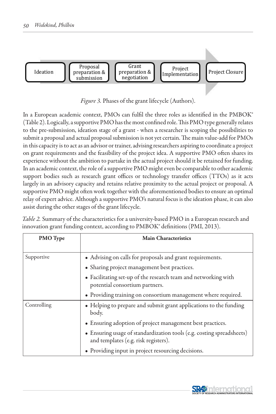

*Figure 3.* Phases of the grant lifecycle (Authors).

In a European academic context, PMOs can fulfil the three roles as identified in the PMBOK® (Table 2). Logically, a supportive PMO has the most confined role. This PMO type generally relates to the pre-submission, ideation stage of a grant - when a researcher is scoping the possibilities to submit a proposal and actual proposal submission is not yet certain. The main value-add for PMOs in this capacity is to act as an advisor or trainer, advising researchers aspiring to coordinate a project on grant requirements and the feasibility of the project idea. A supportive PMO often shares its experience without the ambition to partake in the actual project should it be retained for funding. In an academic context, the role of a supportive PMO might even be comparable to other academic support bodies such as research grant offices or technology transfer offices (TTOs) as it acts largely in an advisory capacity and retains relative proximity to the actual project or proposal. A supportive PMO might often work together with the aforementioned bodies to ensure an optimal relay of expert advice. Although a supportive PMO's natural focus is the ideation phase, it can also assist during the other stages of the grant lifecycle.

| Table 2. Summary of the characteristics for a university-based PMO in a European research and |
|-----------------------------------------------------------------------------------------------|
| innovation grant funding context, according to PMBOK® definitions (PMI, 2013).                |

| <b>PMO</b> Type | <b>Main Characteristics</b>                                                                                   |  |  |
|-----------------|---------------------------------------------------------------------------------------------------------------|--|--|
|                 |                                                                                                               |  |  |
| Supportive      | • Advising on calls for proposals and grant requirements.                                                     |  |  |
|                 | • Sharing project management best practices.                                                                  |  |  |
|                 | • Facilitating set-up of the research team and networking with<br>potential consortium partners.              |  |  |
|                 | • Providing training on consortium management where required.                                                 |  |  |
| Controlling     | • Helping to prepare and submit grant applications to the funding<br>body.                                    |  |  |
|                 | • Ensuring adoption of project management best practices.                                                     |  |  |
|                 | • Ensuring usage of standardization tools (e.g. costing spreadsheets)<br>and templates (e.g. risk registers). |  |  |
|                 | • Providing input in project resourcing decisions.                                                            |  |  |

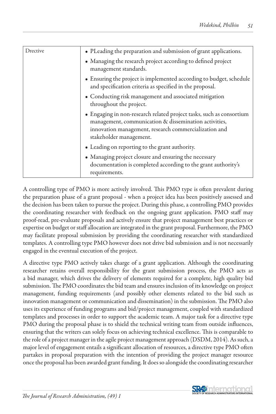| Drective | • PLeading the preparation and submission of grant applications.                                                                                                                                                  |
|----------|-------------------------------------------------------------------------------------------------------------------------------------------------------------------------------------------------------------------|
|          | • Managing the research project according to defined project<br>management standards.                                                                                                                             |
|          | • Ensuring the project is implemented according to budget, schedule<br>and specification criteria as specified in the proposal.                                                                                   |
|          | • Conducting risk management and associated mitigation<br>throughout the project.                                                                                                                                 |
|          | • Engaging in non-research related project tasks, such as consortium<br>management, communication & dissemination activities,<br>innovation management, research commercialization and<br>stakeholder management. |
|          | • Leading on reporting to the grant authority.                                                                                                                                                                    |
|          | • Managing project closure and ensuring the necessary<br>documentation is completed according to the grant authority's<br>requirements.                                                                           |

A controlling type of PMO is more actively involved. This PMO type is often prevalent during the preparation phase of a grant proposal - when a project idea has been positively assessed and the decision has been taken to pursue the project. During this phase, a controlling PMO provides the coordinating researcher with feedback on the ongoing grant application. PMO staff may proof-read, pre-evaluate proposals and actively ensure that project management best practices or expertise on budget or staff allocation are integrated in the grant proposal. Furthermore, the PMO may facilitate proposal submission by providing the coordinating researcher with standardized templates. A controlling type PMO however does not drive bid submission and is not necessarily engaged in the eventual execution of the project.

A directive type PMO actively takes charge of a grant application. Although the coordinating researcher retains overall responsibility for the grant submission process, the PMO acts as a bid manager, which drives the delivery of elements required for a complete, high quality bid submission. The PMO coordinates the bid team and ensures inclusion of its knowledge on project management, funding requirements (and possibly other elements related to the bid such as innovation management or communication and dissemination) in the submission. The PMO also uses its experience of funding programs and bid/project management, coupled with standardized templates and processes in order to support the academic team. A major task for a directive type PMO during the proposal phase is to shield the technical writing team from outside influences, ensuring that the writers can solely focus on achieving technical excellence. This is comparable to the role of a project manager in the agile project management approach (DSDM, 2014). As such, a major level of engagement entails a significant allocation of resources, a directive type PMO often partakes in proposal preparation with the intention of providing the project manager resource once the proposal has been awarded grant funding. It does so alongside the coordinating researcher

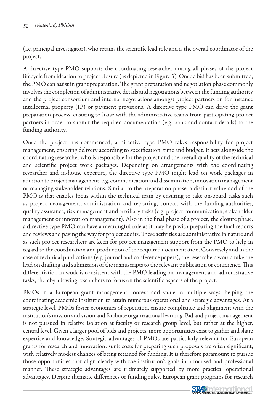(i.e. principal investigator), who retains the scientific lead role and is the overall coordinator of the project.

A directive type PMO supports the coordinating researcher during all phases of the project lifecycle from ideation to project closure (as depicted in Figure 3). Once a bid has been submitted, the PMO can assist in grant preparation. The grant preparation and negotiation phase commonly involves the completion of administrative details and negotiations between the funding authority and the project consortium and internal negotiations amongst project partners on for instance intellectual property (IP) or payment provisions. A directive type PMO can drive the grant preparation process, ensuring to liaise with the administrative teams from participating project partners in order to submit the required documentation (e.g. bank and contact details) to the funding authority.

Once the project has commenced, a directive type PMO takes responsibility for project management, ensuring delivery according to specification, time and budget. It acts alongside the coordinating researcher who is responsible for the project and the overall quality of the technical and scientific project work packages. Depending on arrangements with the coordinating researcher and in-house expertise, the directive type PMO might lead on work packages in addition to project management, e.g. communication and dissemination, innovation management or managing stakeholder relations. Similar to the preparation phase, a distinct value-add of the PMO is that enables focus within the technical team by ensuring to take on-board tasks such as project management, administration and reporting, contact with the funding authorities, quality assurance, risk management and auxiliary tasks (e.g. project communication, stakeholder management or innovation management). Also in the final phase of a project, the closure phase, a directive type PMO can have a meaningful role as it may help with preparing the final reports and reviews and paving the way for project audits. These activities are administrative in nature and as such project researchers are keen for project management support from the PMO to help in regard to the coordination and production of the required documentation. Conversely and in the case of technical publications (e.g. journal and conference papers), the researchers would take the lead on drafting and submission of the manuscripts to the relevant publication or conference. This differentiation in work is consistent with the PMO leading on management and administrative tasks, thereby allowing researchers to focus on the scientific aspects of the project.

PMOs in a European grant management context add value in multiple ways, helping the coordinating academic institution to attain numerous operational and strategic advantages. At a strategic level, PMOs foster economies of repetition, ensure compliance and alignment with the institution's mission and vision and facilitate organizational learning. Bid and project management is not pursued in relative isolation at faculty or research group level, but rather at the higher, central level. Given a larger pool of bids and projects, more opportunities exist to gather and share expertise and knowledge. Strategic advantages of PMOs are particularly relevant for European grants for research and innovation: sunk costs for preparing such proposals are often significant, with relatively modest chances of being retained for funding. It is therefore paramount to pursue those opportunities that align clearly with the institution's goals in a focused and professional manner. These strategic advantages are ultimately supported by more practical operational advantages. Despite thematic differences or funding rules, European grant programs for research

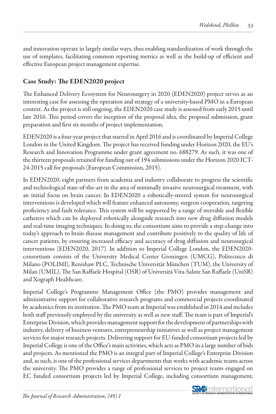and innovation operate in largely similar ways, thus enabling standardization of work through the use of templates, facilitating common reporting metrics as well as the build-up of efficient and effective European project management expertise.

## Case Study: The EDEN2020 project

The Enhanced Delivery Ecosystem for Neurosurgery in 2020 (EDEN2020) project serves as an interesting case for assessing the operation and strategy of a university-based PMO in a European context. As the project is still ongoing, the EDEN2020 case study is assessed from early 2015 until late 2016. This period covers the inception of the proposal idea, the proposal submission, grant preparation and first six months of project implementation.

EDEN2020 is a four-year project that started in April 2016 and is coordinated by Imperial College London in the United Kingdom. The project has received funding under Horizon 2020, the EU's Research and Innovation Programme under grant agreement no. 688279. As such, it was one of the thirteen proposals retained for funding out of 194 submissions under the Horizon 2020 ICT-24-2015 call for proposals (European Commission, 2015).

In EDEN2020, eight partners from academia and industry collaborate to progress the scientific and technological state-of-the-art in the area of minimally invasive neurosurgical treatment, with an initial focus on brain cancer. In EDEN2020 a robotically-steered system for neurosurgical interventions is developed which will feature enhanced autonomy, surgeon cooperation, targeting proficiency and fault tolerance. This system will be supported by a range of steerable and flexible catheters which can be deployed robotically alongside research into new drug diffusion models and real-time imaging techniques. In doing so, the consortium aims to provide a step-change into today's approach to brain disease management and contribute positively to the quality of life of cancer patients, by ensuring increased efficacy and accuracy of drug diffusion and neurosurgical interventions (EDEN2020, 2017). In addition to Imperial College London, the EDEN2020 consortium consists of the University Medical Center Groningen (UMCG), Politecnico di Milano (POLIMI), Renishaw PLC, Technische Universität München (TUM), the University of Milan (UMIL), The San Raffaele Hospital (OSR) of Universitá Vita-Salute San Raffaele (UniSR) and Xograph Healthcare.

Imperial College's Programme Management Office (the PMO) provides management and administrative support for collaborative research programs and commercial projects coordinated by academics from its institution. The PMO team at Imperial was established in 2014 and includes both staff previously employed by the university as well as new staff. The team is part of Imperial's Enterprise Division, which provides management support for the development of partnerships with industry, delivery of business ventures, entrepreneurship initiatives as well as project management services for major research projects. Delivering support for EU-funded consortium projects led by Imperial College is one of the Office's main activities, which acts as PMO in a large number of bids and projects. As mentioned the PMO is an integral part of Imperial College's Enterprise Division and, as such, is one of the professional services departments that works with academic teams across the university. The PMO provides a range of professional services to project teams engaged on EC funded consortium projects led by Imperial College, including consortium management,

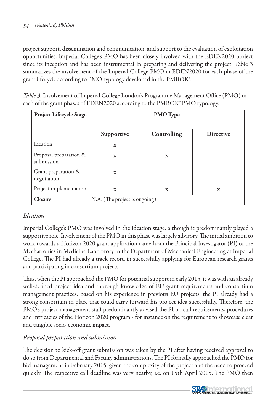project support, dissemination and communication, and support to the evaluation of exploitation opportunities. Imperial College's PMO has been closely involved with the EDEN2020 project since its inception and has been instrumental in preparing and delivering the project. Table 3 summarizes the involvement of the Imperial College PMO in EDEN2020 for each phase of the grant lifecycle according to PMO typology developed in the PMBOK®.

*Table 3.* Involvement of Imperial College London's Programme Management Office (PMO) in each of the grant phases of EDEN2020 according to the PMBOK® PMO typology.

| <b>Project Lifecycle Stage</b>       | <b>PMO</b> Type               |             |                  |
|--------------------------------------|-------------------------------|-------------|------------------|
|                                      | Supportive                    | Controlling | <b>Directive</b> |
| Ideation                             | $\mathbf x$                   |             |                  |
| Proposal preparation &<br>submission | $\mathbf x$                   | X           |                  |
| Grant preparation &<br>negotiation   | X                             |             |                  |
| Project implementation               | $\mathbf x$                   | X           | X                |
| Closure                              | N.A. (The project is ongoing) |             |                  |

## *Ideation*

Imperial College's PMO was involved in the ideation stage, although it predominantly played a supportive role. Involvement of the PMO in this phase was largely advisory. The initial ambition to work towards a Horizon 2020 grant application came from the Principal Investigator (PI) of the Mechatronics in Medicine Laboratory in the Department of Mechanical Engineering at Imperial College. The PI had already a track record in successfully applying for European research grants and participating in consortium projects.

Thus, when the PI approached the PMO for potential support in early 2015, it was with an already well-defined project idea and thorough knowledge of EU grant requirements and consortium management practices. Based on his experience in previous EU projects, the PI already had a strong consortium in place that could carry forward his project idea successfully. Therefore, the PMO's project management staff predominantly advised the PI on call requirements, procedures and intricacies of the Horizon 2020 program - for instance on the requirement to showcase clear and tangible socio-economic impact.

## *Proposal preparation and submission*

The decision to kick-off grant submission was taken by the PI after having received approval to do so from Departmental and Faculty administrations. The PI formally approached the PMO for bid management in February 2015, given the complexity of the project and the need to proceed quickly. The respective call deadline was very nearby, i.e. on 15th April 2015. The PMO then

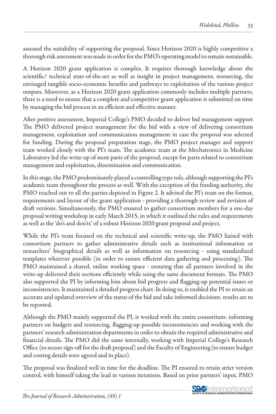assessed the suitability of supporting the proposal. Since Horizon 2020 is highly competitive a thorough risk assessment was made in order for the PMO's operating model to remain sustainable.

A Horizon 2020 grant application is complex. It requires thorough knowledge about the scientific/ technical state-of-the-art as well as insight in project management, resourcing, the envisaged tangible socio-economic benefits and pathways to exploitation of the various project outputs. Moreover, as a Horizon 2020 grant application commonly includes multiple partners, there is a need to ensure that a complete and competitive grant application is submitted on time by managing the bid process in an efficient and effective manner.

After positive assessment, Imperial College's PMO decided to deliver bid management support The PMO delivered project management for the bid with a view of delivering consortium management, exploitation and communication management in case the proposal was selected for funding. During the proposal preparation stage, the PMO project manager and support team worked closely with the PI's team. The academic team at the Mechatronics in Medicine Laboratory led the write-up of most parts of the proposal, except for parts related to consortium management and exploitation, dissemination and communication.

In this stage, the PMO predominantly played a controlling type role, although supporting the PI's academic team throughout the process as well. With the exception of the funding authority, the PMO reached out to all the parties depicted in Figure 2. It advised the PI's team on the format, requirements and layout of the grant application - providing a thorough review and revision of draft versions. Simultaneously, the PMO ensured to gather consortium members for a one-day proposal writing workshop in early March 2015, in which it outlined the rules and requirements as well as the 'do's and don'ts' of a robust Horizon 2020 grant proposal and project.

While the PI's team focused on the technical and scientific write-up, the PMO liaised with consortium partners to gather administrative details such as institutional information or researchers' biographical details as well as information on resourcing - using standardized templates wherever possible (in order to ensure efficient data gathering and processing). The PMO maintained a shared, online working space - ensuring that all partners involved in the write-up delivered their sections efficiently while using the same document formats. The PMO also supported the PI by informing him about bid progress and flagging-up potential issues or inconsistencies. It maintained a detailed progress chart. In doing so, it enabled the PI to retain an accurate and updated overview of the status of the bid and take informed decisions. results are to be reported.

Although the PMO mainly supported the PI, it worked with the entire consortium: informing partners on budgets and resourcing, flagging-up possible inconsistencies and working with the partners' research administration departments in order to obtain the required administrative and financial details. The PMO did the same internally, working with Imperial College's Research Office (to secure sign-off for the draft proposal) and the Faculty of Engineering (to ensure budget and costing details were agreed and in place).

The proposal was finalized well in time for the deadline. The PI ensured to retain strict version control, with himself taking the lead in various iterations. Based on prior partners' input, PMO

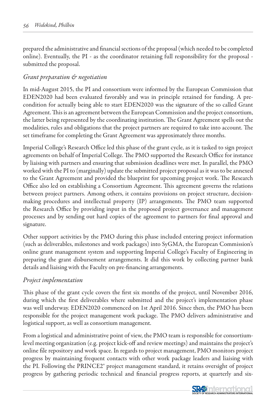prepared the administrative and financial sections of the proposal (which needed to be completed online). Eventually, the PI - as the coordinator retaining full responsibility for the proposal submitted the proposal.

### *Grant preparation & negotiation*

In mid-August 2015, the PI and consortium were informed by the European Commission that EDEN2020 had been evaluated favorably and was in principle retained for funding. A precondition for actually being able to start EDEN2020 was the signature of the so called Grant Agreement. This is an agreement between the European Commission and the project consortium, the latter being represented by the coordinating institution. The Grant Agreement spells out the modalities, rules and obligations that the project partners are required to take into account. The set timeframe for completing the Grant Agreement was approximately three months.

Imperial College's Research Office led this phase of the grant cycle, as it is tasked to sign project agreements on behalf of Imperial College. The PMO supported the Research Office for instance by liaising with partners and ensuring that submission deadlines were met. In parallel, the PMO worked with the PI to (marginally) update the submitted project proposal as it was to be annexed to the Grant Agreement and provided the blueprint for upcoming project work. The Research Office also led on establishing a Consortium Agreement. This agreement governs the relations between project partners. Among others, it contains provisions on project structure, decisionmaking procedures and intellectual property (IP) arrangements. The PMO team supported the Research Office by providing input in the proposed project governance and management processes and by sending out hard copies of the agreement to partners for final approval and signature.

Other support activities by the PMO during this phase included entering project information (such as deliverables, milestones and work packages) into SyGMA, the European Commission's online grant management system and supporting Imperial College's Faculty of Engineering in preparing the grant disbursement arrangements. It did this work by collecting partner bank details and liaising with the Faculty on pre-financing arrangements.

#### *Project implementation*

This phase of the grant cycle covers the first six months of the project, until November 2016, during which the first deliverables where submitted and the project's implementation phase was well underway. EDEN2020 commenced on 1st April 2016. Since then, the PMO has been responsible for the project management work package. The PMO delivers administrative and logistical support, as well as consortium management.

From a logistical and administrative point of view, the PMO team is responsible for consortiumlevel meeting organization (e.g. project kick-off and review meetings) and maintains the project's online file repository and work space. In regards to project management, PMO monitors project progress by maintaining frequent contacts with other work package leaders and liaising with the PI. Following the PRINCE2® project management standard, it retains oversight of project progress by gathering periodic technical and financial progress reports, at quarterly and six-

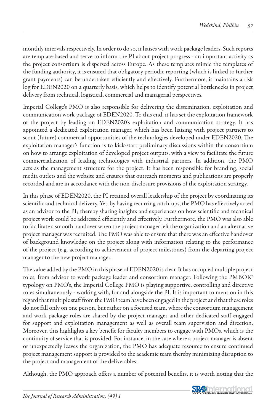monthly intervals respectively. In order to do so, it liaises with work package leaders. Such reports are template-based and serve to inform the PI about project progress - an important activity as the project consortium is dispersed across Europe. As these templates mimic the templates of the funding authority, it is ensured that obligatory periodic reporting (which is linked to further grant payments) can be undertaken efficiently and effectively. Furthermore, it maintains a risk log for EDEN2020 on a quarterly basis, which helps to identify potential bottlenecks in project delivery from technical, logistical, commercial and managerial perspectives.

Imperial College's PMO is also responsible for delivering the dissemination, exploitation and communication work package of EDEN2020. To this end, it has set the exploitation framework of the project by leading on EDEN2020's exploitation and communication strategy. It has appointed a dedicated exploitation manager, which has been liaising with project partners to scout (future) commercial opportunities of the technologies developed under EDEN2020. The exploitation manager's function is to kick-start preliminary discussions within the consortium on how to arrange exploitation of developed project outputs, with a view to facilitate the future commercialization of leading technologies with industrial partners. In addition, the PMO acts as the management structure for the project. It has been responsible for branding, social media outlets and the website and ensures that outreach moments and publications are properly recorded and are in accordance with the non-disclosure provisions of the exploitation strategy.

In this phase of EDEN2020, the PI retained overall leadership of the project by coordinating its scientific and technical delivery. Yet, by having recurring catch-ups, the PMO has effectively acted as an advisor to the PI; thereby sharing insights and experiences on how scientific and technical project work could be addressed efficiently and effectively. Furthermore, the PMO was also able to facilitate a smooth handover when the project manager left the organization and an alternative project manager was recruited. The PMO was able to ensure that there was an effective handover of background knowledge on the project along with information relating to the performance of the project (e.g. according to achievement of project milestones) from the departing project manager to the new project manager.

The value added by the PMO in this phase of EDEN2020 is clear. It has occupied multiple project roles, from advisor to work package leader and consortium manager. Following the PMBOK® typology on PMO's, the Imperial College PMO is playing supportive, controlling and directive roles simultaneously - working with, for and alongside the PI. It is important to mention in this regard that multiple staff from the PMO team have been engaged in the project and that these roles do not fall only on one person, but rather on a focused team, where the consortium management and work package roles are shared by the project manager and other dedicated staff engaged for support and exploitation management as well as overall team supervision and direction. Moreover, this highlights a key benefit for faculty members to engage with PMOs, which is the continuity of service that is provided. For instance, in the case where a project manager is absent or unexpectedly leaves the organization, the PMO has adequate resource to ensure continued project management support is provided to the academic team thereby minimizing disruption to the project and management of the deliverables.

Although, the PMO approach offers a number of potential benefits, it is worth noting that the

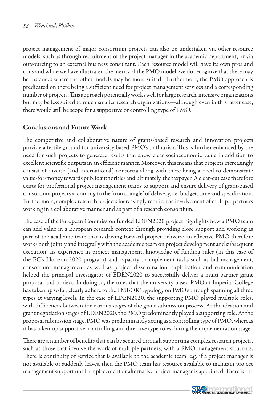project management of major consortium projects can also be undertaken via other resource models, such as through recruitment of the project manager in the academic department, or via outsourcing to an external business consultant. Each resource model will have its own pros and cons and while we have illustrated the merits of the PMO model, we do recognize that there may be instances where the other models may be more suited. Furthermore, the PMO approach is predicated on there being a sufficient need for project management services and a corresponding number of projects. This approach potentially works well for large research-intensive organizations but may be less suited to much smaller research organizations—although even in this latter case, there would still be scope for a supportive or controlling type of PMO.

#### Conclusions and Future Work

The competitive and collaborative nature of grants-based research and innovation projects provide a fertile ground for university-based PMO's to flourish. This is further enhanced by the need for such projects to generate results that show clear socioeconomic value in addition to excellent scientific outputs in an efficient manner. Moreover, this means that projects increasingly consist of diverse (and international) consortia along with there being a need to demonstrate value-for-money towards public authorities and ultimately, the taxpayer. A clear-cut case therefore exists for professional project management teams to support and ensure delivery of grant-based consortium projects according to the 'iron triangle' of delivery, i.e. budget, time and specification. Furthermore, complex research projects increasingly require the involvement of multiple partners working in a collaborative manner and as part of a research consortium.

The case of the European Commission funded EDEN2020 project highlights how a PMO team can add value in a European research context through providing close support and working as part of the academic team that is driving forward project delivery; an effective PMO therefore works both jointly and integrally with the academic team on project development and subsequent execution. Its experience in project management, knowledge of funding rules (in this case of the EC's Horizon 2020 program) and capacity to implement tasks such as bid management, consortium management as well as project dissemination, exploitation and communication helped the principal investigator of EDEN2020 to successfully deliver a multi-partner grant proposal and project. In doing so, the roles that the university-based PMO at Imperial College has taken up so far, clearly adhere to the PMBOK® typology on PMO's through spanning all three types at varying levels. In the case of EDEN2020, the supporting PMO played multiple roles, with differences between the various stages of the grant submission process. At the ideation and grant negotiation stages of EDEN2020, the PMO predominantly played a supporting role. At the proposal submission stage, PMO was predominantly acting as a controlling type of PMO, whereas it has taken-up supportive, controlling and directive type roles during the implementation stage.

There are a number of benefits that can be secured through supporting complex research projects, such as those that involve the work of multiple partners, with a PMO management structure. There is continuity of service that is available to the academic team, e.g. if a project manager is not available or suddenly leaves, then the PMO team has resource available to maintain project management support until a replacement or alternative project manager is appointed. There is the

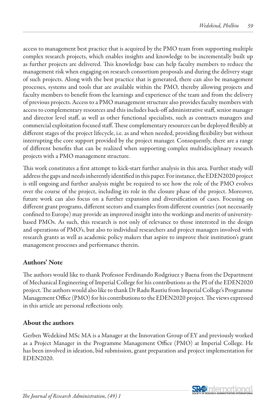access to management best practice that is acquired by the PMO team from supporting multiple complex research projects, which enables insights and knowledge to be incrementally built up as further projects are delivered. This knowledge base can help faculty members to reduce the management risk when engaging on research consortium proposals and during the delivery stage of such projects. Along with the best practice that is generated, there can also be management processes, systems and tools that are available within the PMO, thereby allowing projects and faculty members to benefit from the learnings and experience of the team and from the delivery of previous projects. Access to a PMO management structure also provides faculty members with access to complementary resources and this includes back-off administrative staff, senior manager and director level staff, as well as other functional specialists, such as contracts managers and commercial exploitation focused staff. These complementary resources can be deployed flexibly at different stages of the project lifecycle, i.e. as and when needed, providing flexibility but without interrupting the core support provided by the project manager. Consequently, there are a range of different benefits that can be realized when supporting complex multidisciplinary research projects with a PMO management structure.

This work constitutes a first attempt to kick-start further analysis in this area. Further study will address the gaps and needs inherently identified in this paper. For instance, the EDEN2020 project is still ongoing and further analysis might be required to see how the role of the PMO evolves over the course of the project, including its role in the closure phase of the project. Moreover, future work can also focus on a further expansion and diversification of cases. Focusing on different grant programs, different sectors and examples from different countries (not necessarily confined to Europe) may provide an improved insight into the workings and merits of universitybased PMOs. As such, this research is not only of relevance to those interested in the design and operations of PMO's, but also to individual researchers and project managers involved with research grants as well as academic policy makers that aspire to improve their institution's grant management processes and performance therein.

## Authors' Note

The authors would like to thank Professor Ferdinando Rodgriuez y Baena from the Department of Mechanical Engineering of Imperial College for his contributions as the PI of the EDEN2020 project. The authors would also like to thank Dr Radu Rautiu from Imperial College's Programme Management Office (PMO) for his contributions to the EDEN2020 project. The views expressed in this article are personal reflections only.

## About the authors

Gerben Wedekind MSc MA is a Manager at the Innovation Group of EY and previously worked as a Project Manager in the Programme Management Office (PMO) at Imperial College. He has been involved in ideation, bid submission, grant preparation and project implementation for EDEN2020.

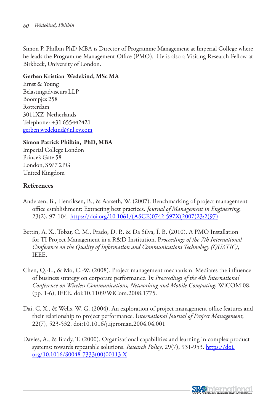Simon P. Philbin PhD MBA is Director of Programme Management at Imperial College where he leads the Programme Management Office (PMO). He is also a Visiting Research Fellow at Birkbeck, University of London.

#### Gerben Kristian Wedekind, MSc MA

Ernst & Young Belastingadviseurs LLP Boompjes 258 Rotterdam 3011XZ Netherlands Telephone: +31 655442421 gerben.wedekind@nl.ey.com

#### Simon Patrick Philbin, PhD, MBA

Imperial College London Prince's Gate 58 London, SW7 2PG United Kingdom

## References

- Andersen, B., Henriksen, B., & Aarseth, W. (2007). Benchmarking of project management office establishment: Extracting best practices. *Journal of Management in Engineering*, 23(2), 97-104. https://doi.org/10.1061/(ASCE)0742-597X(2007)23:2(97)
- Bettin, A. X., Tobar, C. M., Prado, D. P., & Da Silva, Í. B. (2010). A PMO Installation for TI Project Management in a R&D Institution. P*roceedings of the 7th International Conference on the Quality of Information and Communications Technology (QUATIC)*, IEEE.
- Chen, Q.-L., & Mo, C.-W. (2008). Project management mechanism: Mediates the influence of business strategy on corporate performance. I*n Proceedings of the 4th International Conference on Wireless Communications, Networking and Mobile Computing*, WiCOM'08, (pp. 1-6), IEEE. doi:10.1109/WiCom.2008.1775.
- Dai, C. X., & Wells, W. G. (2004). An exploration of project management office features and their relationship to project performance. I*nternational Journal of Project Management*, 22(7), 523-532. doi:10.1016/j.ijproman.2004.04.001
- Davies, A., & Brady, T. (2000). Organisational capabilities and learning in complex product systems: towards repeatable solutions. *Research Policy*, 29(7), 931-953. https://doi. org/10.1016/S0048-7333(00)00113-X

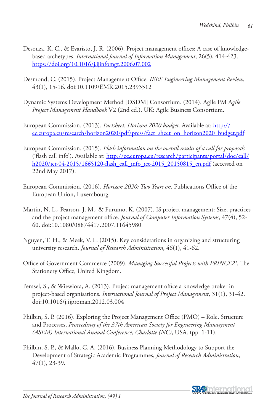- Desouza, K. C., & Evaristo, J. R. (2006). Project management offices: A case of knowledgebased archetypes. *International Journal of Information Management*, 26(5), 414-423. https://doi.org/10.1016/j.ijinfomgt.2006.07.002
- Desmond, C. (2015). Project Management Office. *IEEE Engineering Management Review*, 43(1), 15-16. doi:10.1109/EMR.2015.2393512
- Dynamic Systems Development Method [DSDM] Consortium. (2014). Agile PM A*gile Project Management Handbook* V2 (2nd ed.). UK: Agile Business Consortium.
- European Commission. (2013). *Factsheet: Horizon 2020 budget*. Available at: http:// ec.europa.eu/research/horizon2020/pdf/press/fact\_sheet\_on\_horizon2020\_budget.pdf
- European Commission. (2015). *Flash information on the overall results of a call for proposals* ('flash call info'). Available at: http://ec.europa.eu/research/participants/portal/doc/call/ h2020/ict-04-2015/1665120-flash\_call\_info\_ict-2015\_20150815\_en.pdf (accessed on 22nd May 2017).
- European Commission. (2016). *Horizon 2020: Two Years on*. Publications Office of the European Union, Luxembourg.
- Martin, N. L., Pearson, J. M., & Furumo, K. (2007). IS project management: Size, practices and the project management office. *Journal of Computer Information Systems*, 47(4), 52- 60. doi:10.1080/08874417.2007.11645980
- Nguyen, T. H., & Meek, V. L. (2015). Key considerations in organizing and structuring university research. *Journal of Research Administration*, 46(1), 41-62.
- Office of Government Commerce (2009). *Managing Successful Projects with PRINCE2®*. The Stationery Office, United Kingdom.
- Pemsel, S., & Wiewiora, A. (2013). Project management office a knowledge broker in project-based organisations. *International Journal of Project Management*, 31(1), 31-42. doi:10.1016/j.ijproman.2012.03.004
- Philbin, S. P. (2016). Exploring the Project Management Office (PMO) Role, Structure and Processes, *Proceedings of the 37th American Society for Engineering Management (ASEM) International Annual Conference, Charlotte (NC)*, USA. (pp. 1-11).
- Philbin, S. P., & Mallo, C. A. (2016). Business Planning Methodology to Support the Development of Strategic Academic Programmes, *Journal of Research Administration*, 47(1), 23-39.